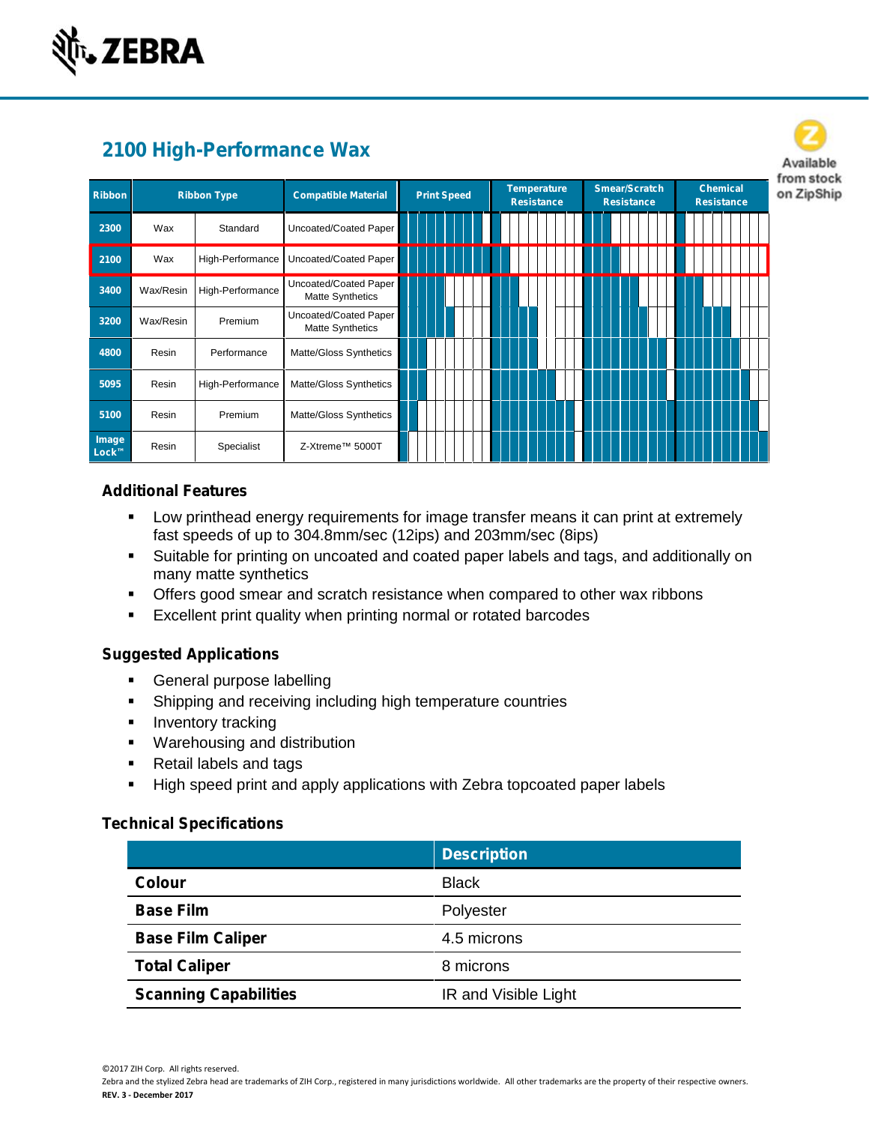

| 2100 High-Performance Wax |                    |                  |                                           |  |  |                    |  |                                         |  |                                           |  |                                      |  |  |
|---------------------------|--------------------|------------------|-------------------------------------------|--|--|--------------------|--|-----------------------------------------|--|-------------------------------------------|--|--------------------------------------|--|--|
| <b>Ribbon</b>             | <b>Ribbon Type</b> |                  | <b>Compatible Material</b>                |  |  | <b>Print Speed</b> |  | <b>Temperature</b><br><b>Resistance</b> |  | <b>Smear/Scratch</b><br><b>Resistance</b> |  | <b>Chemical</b><br><b>Resistance</b> |  |  |
| 2300                      | Wax                | Standard         | Uncoated/Coated Paper                     |  |  |                    |  |                                         |  |                                           |  |                                      |  |  |
| 2100                      | Wax                | High-Performance | Uncoated/Coated Paper                     |  |  |                    |  |                                         |  |                                           |  |                                      |  |  |
| 3400                      | Wax/Resin          | High-Performance | Uncoated/Coated Paper<br>Matte Synthetics |  |  |                    |  |                                         |  |                                           |  |                                      |  |  |
| 3200                      | Wax/Resin          | Premium          | Uncoated/Coated Paper<br>Matte Synthetics |  |  |                    |  |                                         |  |                                           |  |                                      |  |  |
| 4800                      | Resin              | Performance      | Matte/Gloss Synthetics                    |  |  |                    |  |                                         |  |                                           |  |                                      |  |  |
| 5095                      | Resin              | High-Performance | Matte/Gloss Synthetics                    |  |  |                    |  |                                         |  |                                           |  |                                      |  |  |
| 5100                      | Resin              | Premium          | Matte/Gloss Synthetics                    |  |  |                    |  |                                         |  |                                           |  |                                      |  |  |
| Image<br>Lock™            | Resin              | Specialist       | Z-Xtreme™ 5000T                           |  |  |                    |  |                                         |  |                                           |  |                                      |  |  |

## **Additional Features**

- Low printhead energy requirements for image transfer means it can print at extremely fast speeds of up to 304.8mm/sec (12ips) and 203mm/sec (8ips)
- Suitable for printing on uncoated and coated paper labels and tags, and additionally on many matte synthetics
- Offers good smear and scratch resistance when compared to other wax ribbons
- **Excellent print quality when printing normal or rotated barcodes**

## **Suggested Applications**

- **General purpose labelling**
- **Shipping and receiving including high temperature countries**
- **Inventory tracking**
- **Warehousing and distribution**
- Retail labels and tags
- **High speed print and apply applications with Zebra topcoated paper labels**

#### **Technical Specifications**

|                              | <b>Description</b>   |
|------------------------------|----------------------|
| <b>Colour</b>                | <b>Black</b>         |
| <b>Base Film</b>             | Polyester            |
| <b>Base Film Caliper</b>     | 4.5 microns          |
| <b>Total Caliper</b>         | 8 microns            |
| <b>Scanning Capabilities</b> | IR and Visible Light |

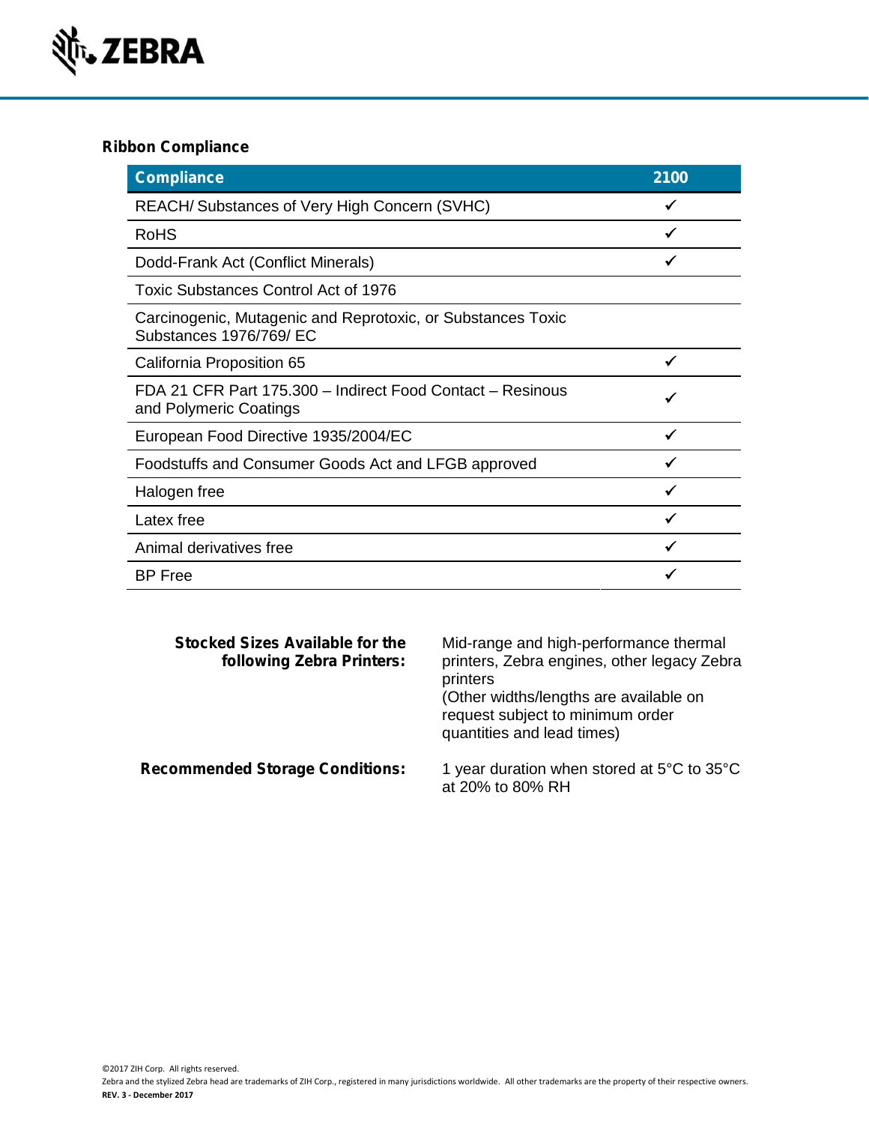

## **Ribbon Compliance**

| <b>Compliance</b>                                                                      | 2100 |
|----------------------------------------------------------------------------------------|------|
| REACH/Substances of Very High Concern (SVHC)                                           |      |
| <b>RoHS</b>                                                                            |      |
| Dodd-Frank Act (Conflict Minerals)                                                     |      |
| Toxic Substances Control Act of 1976                                                   |      |
| Carcinogenic, Mutagenic and Reprotoxic, or Substances Toxic<br>Substances 1976/769/ EC |      |
| California Proposition 65                                                              | ✓    |
| FDA 21 CFR Part 175.300 - Indirect Food Contact - Resinous<br>and Polymeric Coatings   |      |
| European Food Directive 1935/2004/EC                                                   |      |
| Foodstuffs and Consumer Goods Act and LFGB approved                                    |      |
| Halogen free                                                                           |      |
| Latex free                                                                             |      |
| Animal derivatives free                                                                |      |
| <b>BP</b> Free                                                                         |      |

| Stocked Sizes Available for the<br>following Zebra Printers: | Mid-range and high-performance thermal<br>printers, Zebra engines, other legacy Zebra<br>printers<br>(Other widths/lengths are available on<br>request subject to minimum order<br>quantities and lead times) |
|--------------------------------------------------------------|---------------------------------------------------------------------------------------------------------------------------------------------------------------------------------------------------------------|
| <b>Recommended Storage Conditions:</b>                       | 1 year duration when stored at 5°C to 35°C<br>at 20% to 80% RH                                                                                                                                                |

©2017 ZIH Corp. All rights reserved.

Zebra and the stylized Zebra head are trademarks of ZIH Corp., registered in many jurisdictions worldwide. All other trademarks are the property of their respective owners. **REV. 3 - December 2017**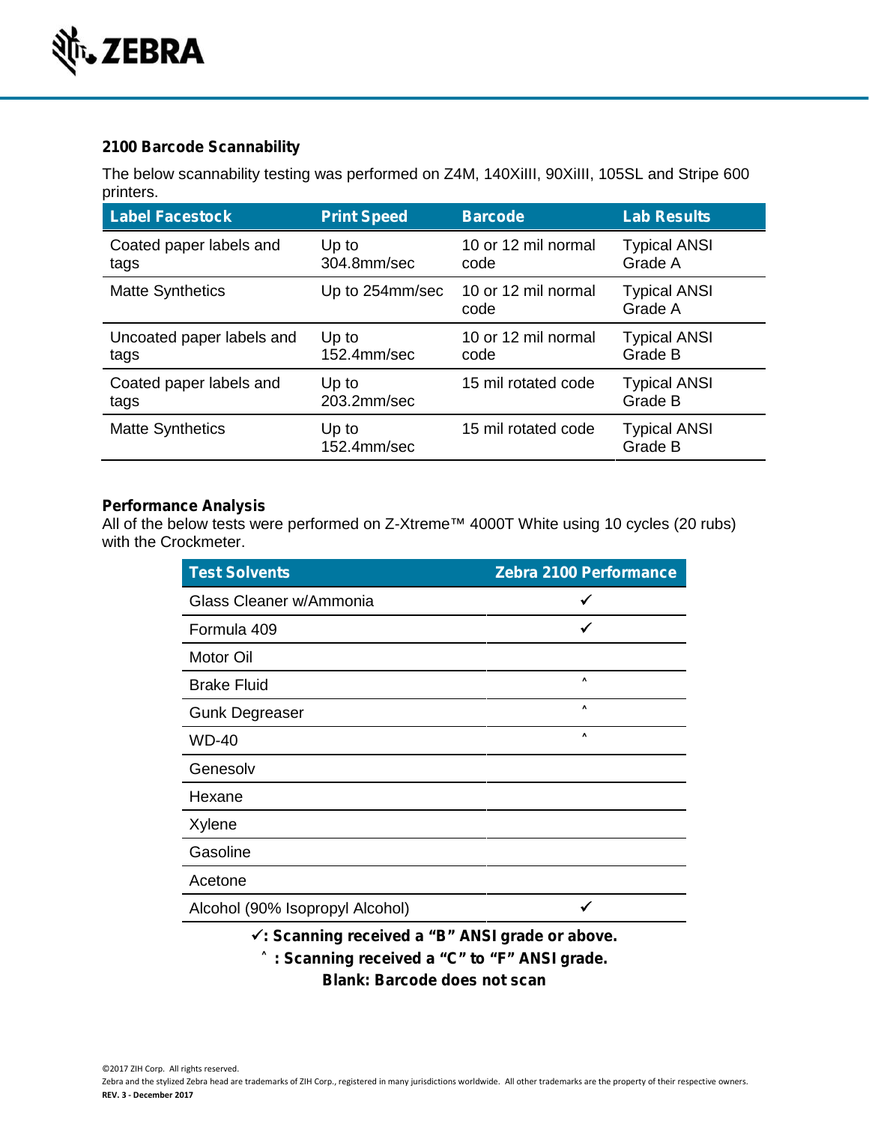

# **2100 Barcode Scannability**

The below scannability testing was performed on Z4M, 140XiIII, 90XiIII, 105SL and Stripe 600 printers.

| <b>Label Facestock</b>    | <b>Print Speed</b>   | <b>Barcode</b>              | <b>Lab Results</b>             |
|---------------------------|----------------------|-----------------------------|--------------------------------|
| Coated paper labels and   | Up to                | 10 or 12 mil normal         | <b>Typical ANSI</b>            |
| tags                      | 304.8mm/sec          | code                        | Grade A                        |
| <b>Matte Synthetics</b>   | Up to 254mm/sec      | 10 or 12 mil normal<br>code | <b>Typical ANSI</b><br>Grade A |
| Uncoated paper labels and | Up to                | 10 or 12 mil normal         | <b>Typical ANSI</b>            |
| tags                      | 152.4mm/sec          | code                        | Grade B                        |
| Coated paper labels and   | Up to                | 15 mil rotated code         | <b>Typical ANSI</b>            |
| tags                      | 203.2mm/sec          |                             | Grade B                        |
| <b>Matte Synthetics</b>   | Up to<br>152.4mm/sec | 15 mil rotated code         | <b>Typical ANSI</b><br>Grade B |

## **Performance Analysis**

All of the below tests were performed on Z-Xtreme™ 4000T White using 10 cycles (20 rubs) with the Crockmeter.

| <b>Test Solvents</b>                            | Zebra 2100 Performance |
|-------------------------------------------------|------------------------|
| Glass Cleaner w/Ammonia                         |                        |
| Formula 409                                     | ✓                      |
| Motor Oil                                       |                        |
| <b>Brake Fluid</b>                              |                        |
| <b>Gunk Degreaser</b>                           |                        |
| <b>WD-40</b>                                    |                        |
| Genesolv                                        |                        |
| Hexane                                          |                        |
| Xylene                                          |                        |
| Gasoline                                        |                        |
| Acetone                                         |                        |
| Alcohol (90% Isopropyl Alcohol)                 |                        |
| √: Scanning received a "B" ANSI grade or above. |                        |
| : Scanning received a "C" to "F" ANSI grade.    |                        |

**Blank: Barcode does not scan**